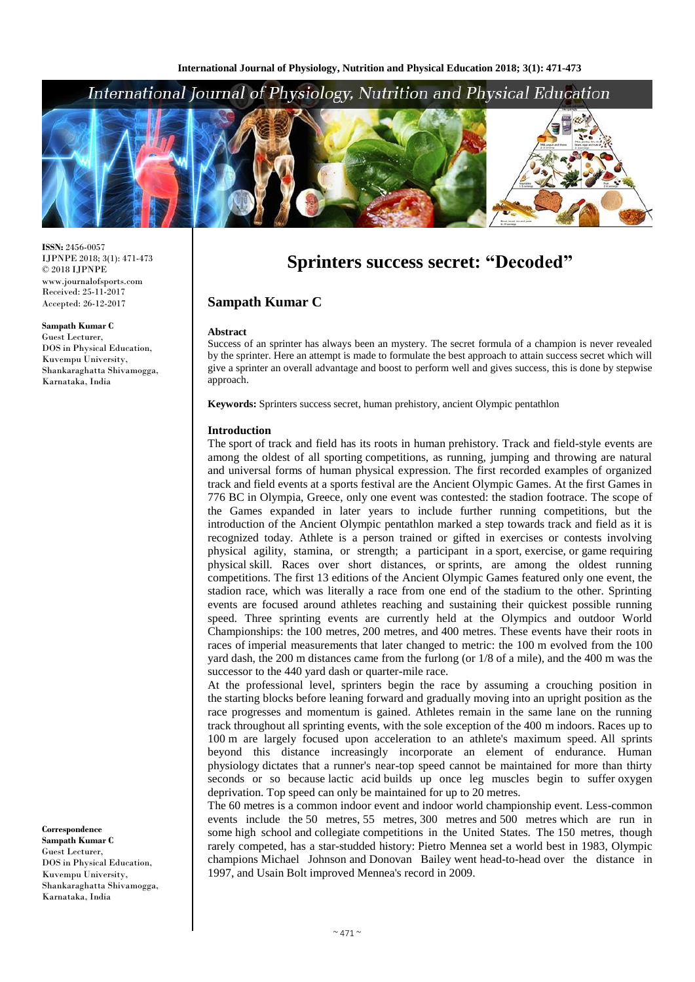## International Journal of Physiology, Nutrition and Physical Education



**ISSN:** 2456-0057 IJPNPE 2018; 3(1): 471-473  $\odot$  2018 IJPNPE www.journalofsports.com Received: 25-11-2017 Accepted: 26-12-2017

**Sampath Kumar C** Guest Lecturer, DOS in Physical Education, Kuvempu University, Shankaraghatta Shivamogga, Karnataka, India

**Correspondence Sampath Kumar C** Guest Lecturer, DOS in Physical Education, Kuvempu University, Shankaraghatta Shivamogga, Karnataka, India

# **Sprinters success secret: "Decoded"**

## **Sampath Kumar C**

#### **Abstract**

Success of an sprinter has always been an mystery. The secret formula of a champion is never revealed by the sprinter. Here an attempt is made to formulate the best approach to attain success secret which will give a sprinter an overall advantage and boost to perform well and gives success, this is done by stepwise approach.

**Keywords:** Sprinters success secret, human prehistory, ancient Olympic pentathlon

#### **Introduction**

The sport of track and field has its roots in human prehistory. Track and field-style events are among the oldest of all sporting competitions, as running, jumping and throwing are natural and universal forms of human physical expression. The first recorded examples of organized track and field events at a sports festival are the Ancient Olympic Games. At the first Games in 776 BC in Olympia, Greece, only one event was contested: the stadion footrace. The scope of the Games expanded in later years to include further running competitions, but the introduction of the Ancient Olympic pentathlon marked a step towards track and field as it is recognized today. Athlete is a person trained or gifted in exercises or contests involving physical agility, stamina, or strength; a participant in a sport, exercise, or game requiring physical skill. Races over short distances, or sprints, are among the oldest running competitions. The first 13 editions of the Ancient Olympic Games featured only one event, the stadion race, which was literally a race from one end of the stadium to the other. Sprinting events are focused around athletes reaching and sustaining their quickest possible running speed. Three sprinting events are currently held at the Olympics and outdoor World Championships: the 100 metres, 200 metres, and 400 metres. These events have their roots in races of imperial measurements that later changed to metric: the 100 m evolved from the 100 yard dash, the 200 m distances came from the furlong (or 1/8 of a mile), and the 400 m was the successor to the 440 yard dash or quarter-mile race.

At the professional level, sprinters begin the race by assuming a crouching position in the starting blocks before leaning forward and gradually moving into an upright position as the race progresses and momentum is gained. Athletes remain in the same lane on the running track throughout all sprinting events, with the sole exception of the 400 m indoors. Races up to 100 m are largely focused upon acceleration to an athlete's maximum speed. All sprints beyond this distance increasingly incorporate an element of endurance. Human physiology dictates that a runner's near-top speed cannot be maintained for more than thirty seconds or so because lactic acid builds up once leg muscles begin to suffer oxygen deprivation. Top speed can only be maintained for up to 20 metres.

The 60 metres is a common indoor event and indoor world championship event. Less-common events include the 50 metres, 55 metres, 300 metres and 500 metres which are run in some high school and collegiate competitions in the United States. The 150 metres, though rarely competed, has a star-studded history: Pietro Mennea set a world best in 1983, Olympic champions Michael Johnson and Donovan Bailey went head-to-head over the distance in 1997, and Usain Bolt improved Mennea's record in 2009.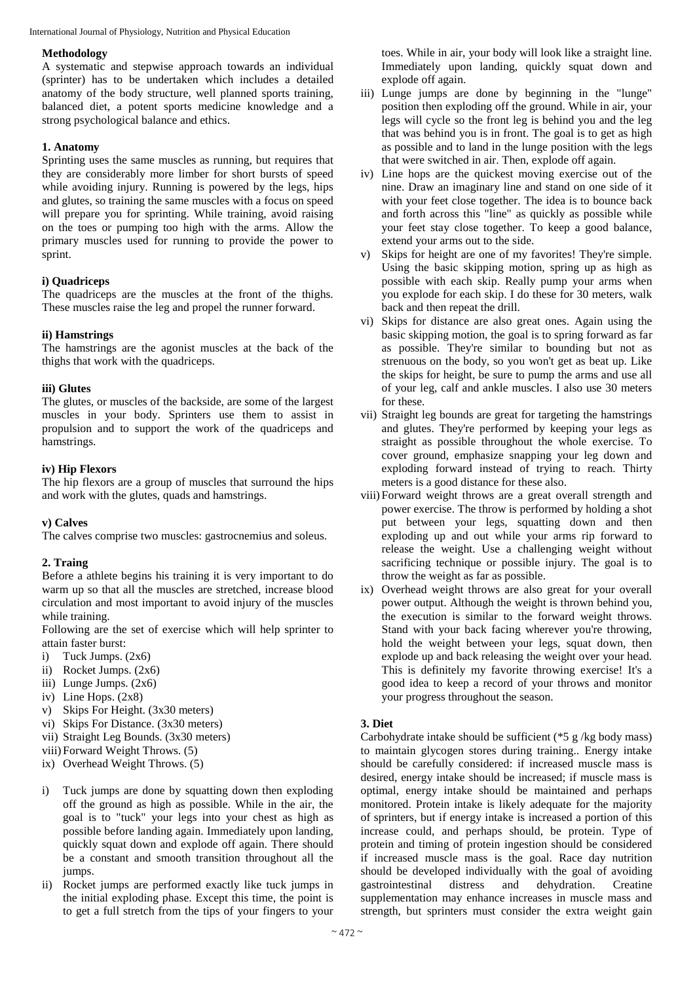International Journal of Physiology, Nutrition and Physical Education

#### **Methodology**

A systematic and stepwise approach towards an individual (sprinter) has to be undertaken which includes a detailed anatomy of the body structure, well planned sports training, balanced diet, a potent sports medicine knowledge and a strong psychological balance and ethics.

#### **1. Anatomy**

Sprinting uses the same muscles as running, but requires that they are considerably more limber for short bursts of speed while avoiding injury. Running is powered by the legs, hips and glutes, so training the same muscles with a focus on speed will prepare you for sprinting. While training, avoid raising on the toes or pumping too high with the arms. Allow the primary muscles used for running to provide the power to sprint.

#### **i) Quadriceps**

The quadriceps are the muscles at the front of the thighs. These muscles raise the leg and propel the runner forward.

#### **ii) Hamstrings**

The hamstrings are the agonist muscles at the back of the thighs that work with the quadriceps.

#### **iii) Glutes**

The glutes, or muscles of the backside, are some of the largest muscles in your body. Sprinters use them to assist in propulsion and to support the work of the quadriceps and hamstrings.

#### **iv) Hip Flexors**

The hip flexors are a group of muscles that surround the hips and work with the glutes, quads and hamstrings.

#### **v) Calves**

The calves comprise two muscles: gastrocnemius and soleus.

#### **2. Traing**

Before a athlete begins his training it is very important to do warm up so that all the muscles are stretched, increase blood circulation and most important to avoid injury of the muscles while training.

Following are the set of exercise which will help sprinter to attain faster burst:

- i) Tuck Jumps.  $(2x6)$
- ii) Rocket Jumps. (2x6)
- iii) Lunge Jumps. (2x6)
- iv) Line Hops. (2x8)
- v) Skips For Height. (3x30 meters)
- vi) Skips For Distance. (3x30 meters)
- vii) Straight Leg Bounds. (3x30 meters)
- viii) Forward Weight Throws. (5)
- ix) Overhead Weight Throws. (5)
- i) Tuck jumps are done by squatting down then exploding off the ground as high as possible. While in the air, the goal is to "tuck" your legs into your chest as high as possible before landing again. Immediately upon landing, quickly squat down and explode off again. There should be a constant and smooth transition throughout all the jumps.
- ii) Rocket jumps are performed exactly like tuck jumps in the initial exploding phase. Except this time, the point is to get a full stretch from the tips of your fingers to your

toes. While in air, your body will look like a straight line. Immediately upon landing, quickly squat down and explode off again.

- iii) Lunge jumps are done by beginning in the "lunge" position then exploding off the ground. While in air, your legs will cycle so the front leg is behind you and the leg that was behind you is in front. The goal is to get as high as possible and to land in the lunge position with the legs that were switched in air. Then, explode off again.
- iv) Line hops are the quickest moving exercise out of the nine. Draw an imaginary line and stand on one side of it with your feet close together. The idea is to bounce back and forth across this "line" as quickly as possible while your feet stay close together. To keep a good balance, extend your arms out to the side.
- v) Skips for height are one of my favorites! They're simple. Using the basic skipping motion, spring up as high as possible with each skip. Really pump your arms when you explode for each skip. I do these for 30 meters, walk back and then repeat the drill.
- vi) Skips for distance are also great ones. Again using the basic skipping motion, the goal is to spring forward as far as possible. They're similar to bounding but not as strenuous on the body, so you won't get as beat up. Like the skips for height, be sure to pump the arms and use all of your leg, calf and ankle muscles. I also use 30 meters for these.
- vii) Straight leg bounds are great for targeting the hamstrings and glutes. They're performed by keeping your legs as straight as possible throughout the whole exercise. To cover ground, emphasize snapping your leg down and exploding forward instead of trying to reach. Thirty meters is a good distance for these also.
- viii) Forward weight throws are a great overall strength and power exercise. The throw is performed by holding a shot put between your legs, squatting down and then exploding up and out while your arms rip forward to release the weight. Use a challenging weight without sacrificing technique or possible injury. The goal is to throw the weight as far as possible.
- ix) Overhead weight throws are also great for your overall power output. Although the weight is thrown behind you, the execution is similar to the forward weight throws. Stand with your back facing wherever you're throwing, hold the weight between your legs, squat down, then explode up and back releasing the weight over your head. This is definitely my favorite throwing exercise! It's a good idea to keep a record of your throws and monitor your progress throughout the season.

## **3. Diet**

Carbohydrate intake should be sufficient (\*5 g /kg body mass) to maintain glycogen stores during training.. Energy intake should be carefully considered: if increased muscle mass is desired, energy intake should be increased; if muscle mass is optimal, energy intake should be maintained and perhaps monitored. Protein intake is likely adequate for the majority of sprinters, but if energy intake is increased a portion of this increase could, and perhaps should, be protein. Type of protein and timing of protein ingestion should be considered if increased muscle mass is the goal. Race day nutrition should be developed individually with the goal of avoiding gastrointestinal distress and dehydration. Creatine supplementation may enhance increases in muscle mass and strength, but sprinters must consider the extra weight gain